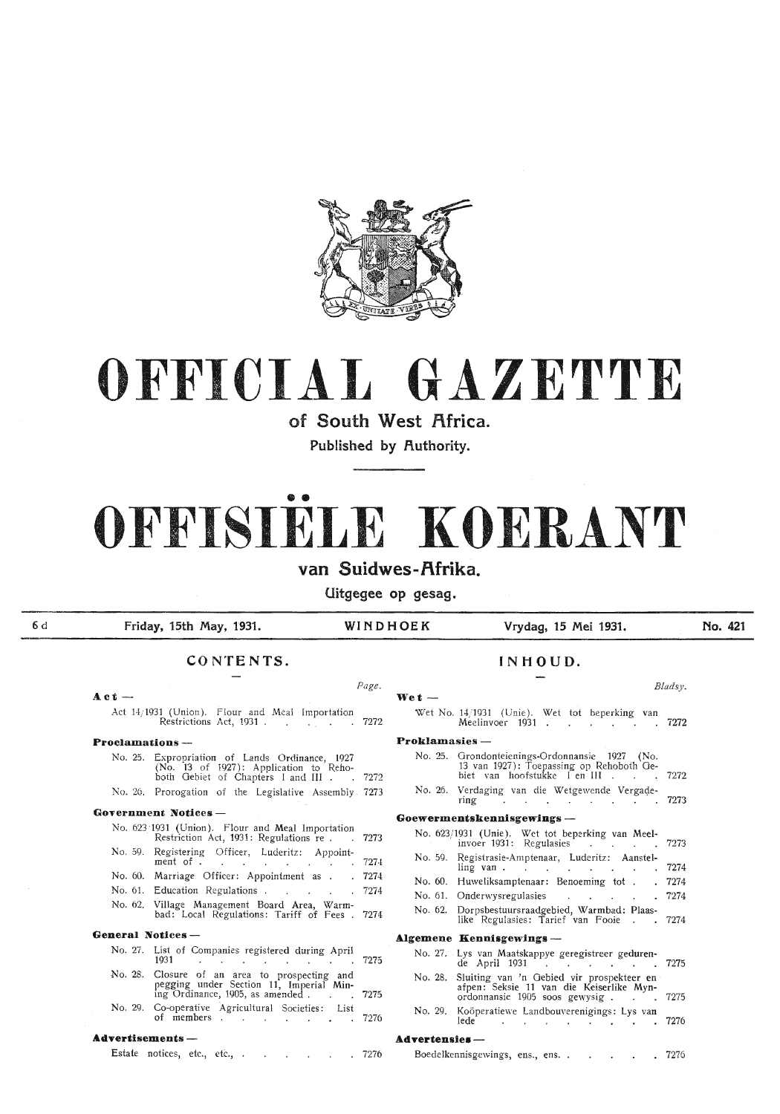

# **OFFICIAL GAZETTE**

**of South West Africa.** 

Published by Authority.

# •• **OFFISIELE KOERANT**

**van Suidwes-f\frika.** 

**Uitgegee op gesag.** 

6d

### **Friday, 15th May, 1931. WINDHOEK Vrydag, 15 Mei 1931.**

**No. 421** 

### **CONTENTS. INHOUD.**

### **A.ct - Wet** - Act 14; 1931 (Union). Flour and Meal Importation Restrictions Act, 1931 . 7272

### **Proclamations** -

| No. 25. Expropriation of Lands Ordinance, 1927       |  |
|------------------------------------------------------|--|
| (No. 13 of 1927): Application to Reho-               |  |
| both Gebiet of Chapters I and III 7272               |  |
| No. 26. Prorogation of the Legislative Assembly 7273 |  |

#### Government Notices - $N_0$ . 692/1021 (Union).  $FL$

|                   | No. 623/1931 (Union). Flour and Meal Importation<br>Restriction Act, 1931: Regulations re. 7273 |  |
|-------------------|-------------------------------------------------------------------------------------------------|--|
|                   | No. 59. Registering Officer, Luderitz: Appoint-<br>ment of 7274                                 |  |
|                   | No. 60. Marriage Officer: Appointment as 7274                                                   |  |
|                   | No. 61. Education Regulations 7274                                                              |  |
|                   | No. 62. Village Management Board Area, Warm-<br>bad: Local Regulations: Tariff of Fees . 7274   |  |
| General Notices — |                                                                                                 |  |

| No. 27. List of Companies registered during April                                                                                |  |
|----------------------------------------------------------------------------------------------------------------------------------|--|
| 1931                                                                                                                             |  |
| No. 28. Closure of an area to prospecting and<br>pegging under Section 11, Imperial Min-<br>ing Ordinance, 1905, as amended 7275 |  |
|                                                                                                                                  |  |
| No. 20 Co-operative Agricultural Sociation, List                                                                                 |  |

No. 29. Co-operative Agricultural Societies: List of members  $\ldots$   $\ldots$   $\ldots$   $\ldots$  7276

### **Advertisements** -

Estate notices, etc., etc., . . . . . . 7276

### *Page. Blads:v.*  Wet No. 14/1931 (Unie). Wet tot beperking van Meelinvoer 1931  $\ldots$ **Proklamasies** - No. 25. Grondonteienings-Ordonnansie 1927 (No. 13 van 1927): Toepassing op Rehoboth Gebiet van hoofstukke I en !II . 7272 No. 26. Verdaging van die Wetgewende Vergaqering 7273 **Goewermentskennisgewings** - No. 623/ 1931 (Unie). Wet tot beperking van Meelinvoer 1931: Regulasies III (1972-1988) No. 59. Registrasie-Am ptenaar, Luderitz: Aanstelling van . . . . . . . . 7274 No. 60. Huweliksamptenaar: Benoeming tot . . 7274 No. 61. Onderwysregulasies . . . . . 7274 No. 62. Dorpsbestuursraadgebied, Warmbad: Plaaslike Regulasies: Tarief van Fooie . . 7274 **Algemene Kennisgewings** - No. 27. Lys van Maatskappye geregistreer gedurende April 1931 7. . . . . . 7275 No. 28. Sluiting van 'n Gebied vir prospekteer en · afpen: Seksie 11 van die Keiserlike Mynordonnansie 1905 soos gewysig . . . . 7275 No. 29. Koöperatiewe Landbouverenigings: Lys van lede **Advertensies**-

| Boedelkennisgewings, ens., ens. . |  |  |  |  |  |  |  | 7276 |
|-----------------------------------|--|--|--|--|--|--|--|------|
|-----------------------------------|--|--|--|--|--|--|--|------|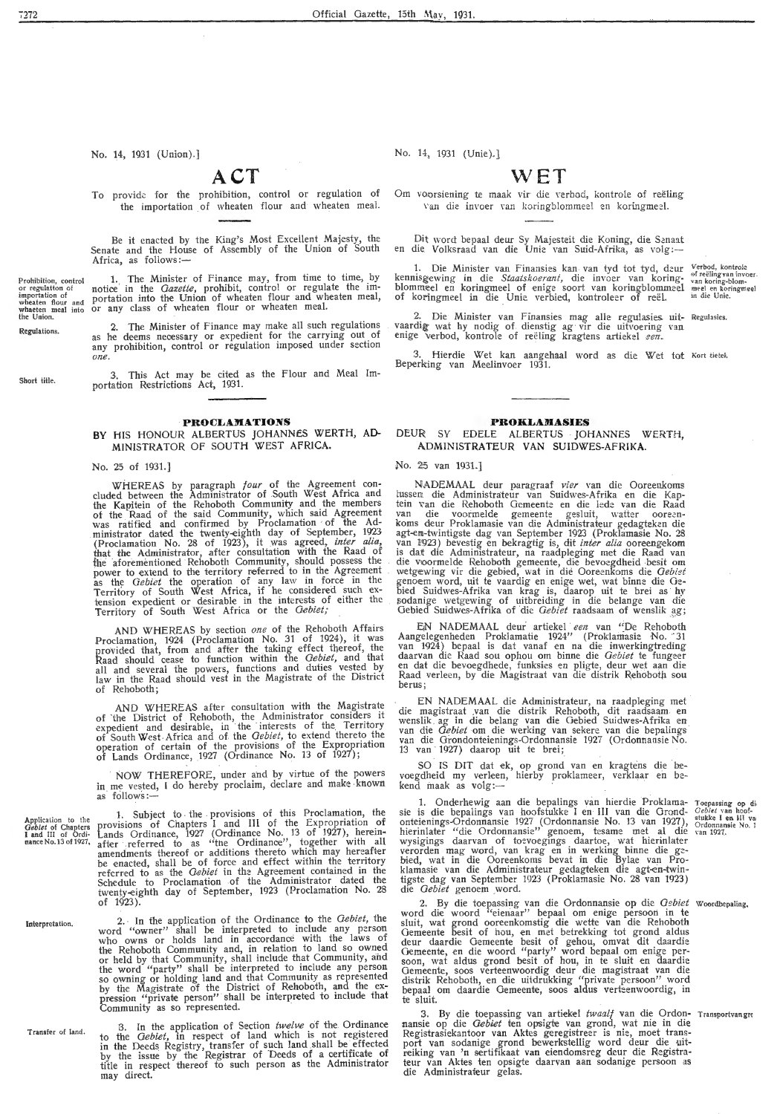No. 14, 1931 (Union).]

### **ACT**

To provide: for the prohibition, control or regulation of the importation of wheaten flour and wheaten meal.

Be it enacted by the King's Most Excellent Majesty, the Senate and the House of Assembly of the Union of South Africa, as follows:-

Prohibition, control<br>or regulatton of **importation of wheaten flour and** whaeten meal into the Union. 1. The Minister of Finance may, from time to time, by notice in the *Gazette*, prohibit, control or regulate the importation into the Union of wheaten flour and wheaten meal, or any class of wheaten flour or wheaten meal.

2. The Minister of Finance may make all such regulations as he deems necessary or expedient for the carrying out of any prohibition, control or regulation imposed under section *one.* 

3. This Act may be cited as the Flour and Meal Importation Restrictions Act, 1931.

### **PROCLAMATIONS**

**BY** HIS HONOUR ALBERTUS JOHANNES WERTH, **AD-**MINISTRATOR OF SOUTH WEST AFRICA.

### No. 25 of 1931.]

WHEREAS by paragraph *four* of the Agreement con-<br>cluded between the Administrator of South West Africa and the Kapitein of the Rehoboth Community and the members<br>of the Raad of the said Community, which said Agreement<br>was ratified and confirmed by Proclamation of the Administrator dated the twenty-eighth day of September, 1923 (Proclamation No. 28 of 1923), it was agreed, *inter alia*, that the Administrator, after consultation with the Raad of the aforementioned Rehoboth Community, should possess the power to extend to the territory referred to in the Agreement as the *Gebiet* the operation of any law in force in the Territory of South West Africa, if he considered such extension expedient or desirable in the interests of either the Territory of South West Africa or the *Gebiet;* 

AND WHEREAS by section *one* of the Rehoboth Affairs Proclamation, 1924 (Proclamation No. 31 of 1924), it was<br>provided that, from and after the taking effect thereof, the Raad should 'cease to function within the *Gebiet,* and that all and several the powers, functions and duties vested by law in the Raad should vest in the Magistrate of the District of Rehoboth;

AND WtiEREAS after consultation with the Magistrate of the District of Rehoboth, the Administrator considers it expedient and desirable, in the interests of the Territory of South West Africa and of the *Oebief,* to extend thereto the operation of certain of the provisions of the Expropriation of Lands Ordinance, 1927 (Ordinance No. 13 of 1927);

NOW THEREFORE, under and by virtue of the powers in me vested, I do hereby proclaim, declare and make known as follows:-

1. Subject to the provisions of this Proclamation, the provisions of Chapters I and III of the Expropriation of Lands Ordinance, 1927 (Ordinance No. 13 of 1927), hereinafter referred to as "the Ordinance", together with all amendments thereof or additions thereto which may hereafter be enacted, shall be of force and effect within the territory referred to as the *Gebiet* in the Agreement contained in the Schedule to Proclamation of the Administrator dated the twenty-eighth day of September, 1923 (Proclamation No. 28 of  $1923$ ).

2. - In the application of the Ordinance to the *Oebiet,* the word "owner" shall be interpreted to include any person who owns or holds land in accordance with the laws of the Rehoboth Community and, in relation to land so owned or held bv that Community, shall include that Community, and the word "party" shall be interpreted to include any person so owning or holding land and that Community as represented by the Magistrate of the District of Rehoboth, and the ex-<br>pression "private person" shall be interpreted to include that Community as so represented.

3. In the application of Section *twelve* of the Ordinance to the *Gebiet*, in respect of land which is not registered in the Deeds Registry, transfer of such land shall be effected by the issue by the Registrar of Deeds of a certificate of title in respect thereof to such person as the Administrator may direct.

No. 14, 1931 (Unie).]

### **WET**

Om voorsiening te maak vir die verbod, kontrole of reëling Van die invoer van koringblommeel en koringmeel.

Dit word bepaal deur Sy Majesteit die Koning, die Senaat en die. Volksraad van die Unie van Suid-Afrika, as volg :-

1. Die Minister van Finansies kan van tyd tot tyd, deur <sup>Verbod, kontrole isgewing in die *Staatskoerant*, die invoer van koring- van koring-blom-<br>1meel en koringmeel of enige soort van koringblommeel meel en koringweel<br>30</sup> kenmsgewing in die *Staatskoerant,* die invoer van koringblommeel en koringmeel of enige soort van koringblommeel of koringmeel in die Unie verbied, kontroleer of reël.

2. Die Minister van Finansies mag alle regulasies uit- Regulasies.<br>vaardig wat hy nodig of dienstig ag vir die uitvoering van<br>enige verbod, kontrole of reëling kragtens artiekel *een*.

3. Hierdie Wet kan aangehaal word as die Wet tot Kort tietek. Beperk:ing van Meelinvoer 1931.

### **PROKLAMASIES**

DEUR SY EDELE ALBERTUS JOHANNES WERTH, **ADMINISTRATEUR VAN SUIDWES-AFRIKA.** 

### No. 25 van 1931.]

NADEMAAL deur paragraaf *vier* van die Ooreenkmns tussen die Administrateur van Suidwes-Afrika en die Kaptein van die Rehoboth Gemeente en die lede van die Raad van die voormelde gemeente gesluit, watter ooreen-<br>koms deur Proklamasie-van-die-Administrateur-gedagteken-die agt-em-twintigste dag van September 1923 (Proklamasie No. 28 van 1923) bevestig en bekragtig is, dit *inter alia* ooreengekom is dat die Administrateur, na raadpleging met die Raad van<br>die voormelde Rehoboth gemeente, die bevoegdheid besit om<br>wetgewing vir die gebied, wat in die Ooreenkoms die *Oebiet* genoem word, uit te vaardig en enige wet, wat binne die Gebied Suidwes-Afrika van krag is, daarop uit te brei as hy sodanige wetgewing of uitbreiding in die belange van die Gebied Suidwes-Afrika of die *Gebiet* raadsaam of wenslik ag;

EN NADEMAAL deur artiekel een van "De Rehoboth Aangelegenheden Proklamatie 1924" (Proklamasie No. 31 van 1924) bepaal is dat vanaf en na die inwerkingtreding daarvan die Raad sou ophou om binne die *Gebiet* te fungeer en dat die bevoegdhede, funksks en pligte, deur wet aan die Raad verleen, by die Magistraat van die distrik Rehoboth sou<br>berus;

EN NADEMAAL die Administrateur, na raadpieging met die magistraat van die distrik Rehoboth, dit raadsaam en<br>wenslik ag in die belang van die Gebied Suidwes-Afrika en<br>van die *Gebiet* om die werking van sekere van die bepalings<br>van die Grondonteienings-Ordonnansie 1927 (Ord 13 van 1927) daarop uit te hrei;

SO IS DIT dat ek, op grond van en kragtens die bevoegdheid my verleen, hierby proklameer, verklaar en be-<br>kend maak as volg:—

1. Onderhewig aan die hepalings van hierdie Proklamasie is die bepalings van hoofstukke I en III van die Grondonteienings-Ordonnansie 1927 (Ordonnansie No. 13 van 1927), hierinlater "die Ordonnansie" genoem, tesame met al die wysigings daarvan of toevoegings daartoe, wat hierinlater<br>verorden mag word, van krag en in werking binne die gebied, wat in die Ooreenkoms bevat in die Bylae van Proklamasie van die Administrateur gedagteken die agt•en-twintigste dag van September 1923 ( Proklamasie No. 28 van 1923) die *Oebiet* genoem word.

2. By die toepassing van die Ordonnansie op die *Qgbiet*  word die woord "eieriaar" bepaal om enige persoon in te sluit, wat grond ooreenkomstig die wette van die Rehoboth Gemeente besit of hou, en met betrekking tot grond aldus deur daardie Gemeente besit of gehou, omvat dit daardie Oemeente, en die woord "party" word bepaal om enige persoon, wat aldus grond besit of hou, in te sluit en daardie Gemeente, soos verteenwoordig deur die magistraat van die distrik Rehoboth, en die uitdrukking "private persoon" word bepaal om daardie Gemeente, soos aldus verteenwoordig, in te sluit. Woordbepaling.

3. By die toepassing van artiekel twaalf van die Ordonnansie op die *Oebtet* ten opsigte van grond, wat nie in die Registrasiekantoor van Aktes geregistreer is nie, moet transport van sodanige grond bewerkstellig word deur die uitreiking van 'n sertifikaat van eiendomsreg deur die Registra• teur van Aktes ten opsigte daarvan aan sodanige persoon as die Administrateur gelas. · Transportvan grc

Tocpassing op di; *Oebiet* van hoofstukke I en III va:<br>Ordonnansie No. 1<br>van 1927.

Application to the *Oebiet* oi Chapters I aitd III of Ordi-**nance** No.13 of 1927,

Interpretation.

Transfer of land.

Regulations.

Short title.

7272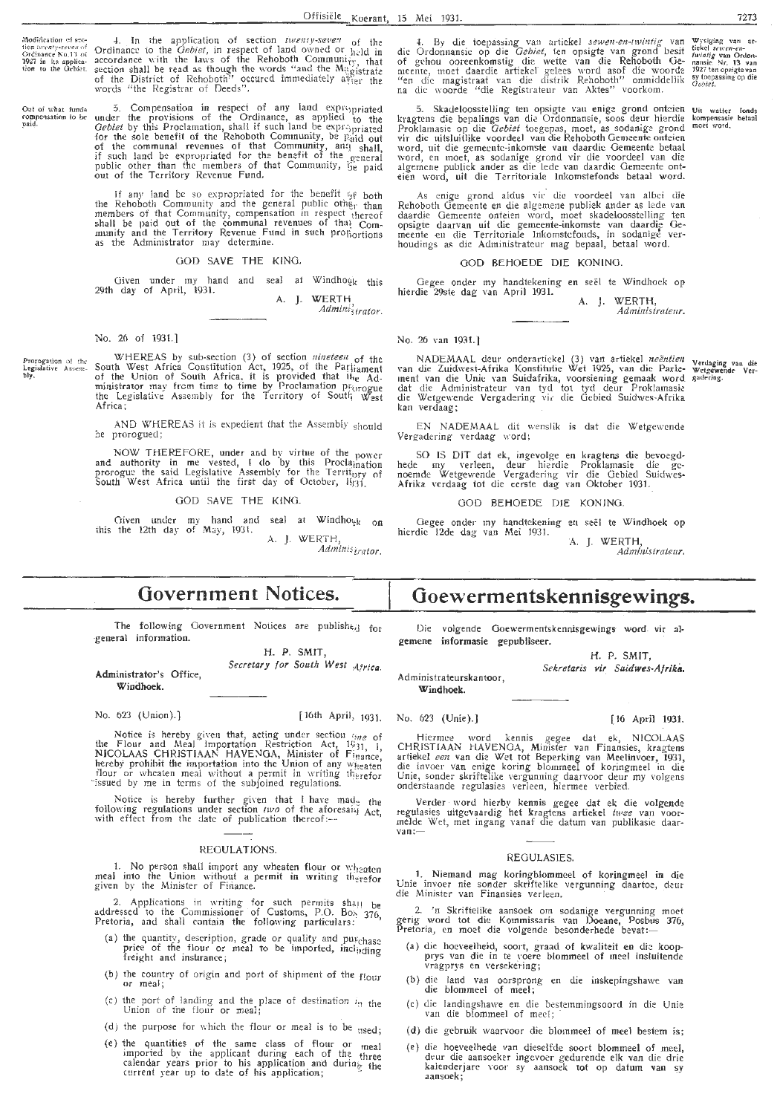Modification of sec-<br> **fion** twe*nty-seven* of<br> **1927** in its applica-<br> **fion** to the Gebiet.

Oat of what funds<br>compensation to be<br>paid.

words "the Registrar of Oeeds". 5. Compensation in respect of any land expropriated under the provisions of the Ordinance, as applied to the *Gebiet* by this Proclamation, shall if such land be expr<sub>2</sub>priated for the sole benefit of the Rehoboth Community, be Haid out of the communal revenues of that Community, and shall, if such land be expropriated for the benefit of the <sub>general</sub><br>public other than the members of that Community, ij<sub>e paid</sub> out of the Territory Revenue Fund.

4. In the application of section *iwenty-seven* of the Ordinance to the *Gebiet*, in respect of land owned or  $h$ -ld in accordance with the laws of the Rehoboth Community, that section shall be read as though the words " and the Magistrate of the District of Rehoboth" occured immediately a $\mathfrak{k}_{\text{fer}}$  the

If any land be so expropriated for the benefit  $\frac{c_f}{c_f}$  both the Rehoboth Community and the general public other than members of that Community, compensation in respect thereof shall be paid out of the communal revenues of that  $Com$ munity and the Territory Revenue Fund in such profioritions as the Administrator may determine.

### GOD SAVE THE KING.

Given under my hand and Given under my hand and seal at Windhog<sub>k this</sub> 29th day of April, 1931. **A. J.** WERT H

*Ad mini\$ trator.* 

No. 26 of 1931.J

Prorogation of the<br>**Legislative** Assem-<br>bly, WHEREAS by sub-section (3) of section *nineteell* of the South West Africa Constitution Act, 1925, of the Parliament of the Union of South Africa, it is provided that  $\mathbf{H}_{\text{te}}$  Administrator may from time to time by Proclamation prorogue the Legislative Assembly for the Territory of South  $W_{est}$ Africa;

> AND WHEREAS it is expedient that the Assembly should be prorogued;

> NOW THEREFORE, under and by virtue of the power and authority in me vested, I do by this Procla<sub>ination</sub><br>prorogue the said Legislative Assembly for the Territi<sub>ory of</sub><br>South West Africa until the first day of October, 1931.

> > GOD SAVE THE KING.

Given under my hand and seal at Windho<sub>1</sub> on this the 12th day of May, 1931.

A. J. WERTH, Adminis<sub>trator.</sub>

## **Government Notices.**

The following Government Notices are published for general information.

**H.** P. SMIT,

Administrator's Office, Windhoek. Secretary for South West Africa.

No. 623 (Union).)

[ 16th April, 1931.

Notice is hereby given that, acting under section  $\zeta_{11}e$  of the Flour and Meal Importation Restriction Act,  $1931 - 1$ NICOLAAS CHRISTIAAN HAVENGA, Minister of  $F_{inance}$ . hereby prohibit the importation into the Union of any  $\mathbf{w}_{\text{treatment}}$ flour or wheaten meal without a permit in writing therefor ~issued by me in terms of the subjoined regulations.

Notice is hereby further given that I have mad. the following regulations under section two of the aforesais Act with effect from the date of publication thereof: $-\frac{1}{2}$ 

### REGULATIONS.

1. No person shall import any wheaten flour or  $w_{heaten}$ meal into the Union without a permit in writing therefor<br>given by the Minister of Finance.

2. Applications in writing for such permits shall be addressed to the Commissioner of Customs, P.O. Box  $376$ Pretoria, and shall contain the following particulars:  $\frac{370}{27}$ 

- (a) the quantity, description, grade or quality and purchase price of the flour or meal to be imported, including<br>freight and insurance;
- (b) the country of origin and port of shipment of the flour or meal;
- (c) the port of landing and the place of destination  $i_n$  the Union of the flour or meal;
- (d) the purpose for which the flour or meal is to be  $t_1$ used;
- (e) the quantities of the same class of flour or  $_{\text{meas}1}$ imported by the applicant during each of the three calendar years prior to his application and during the current year up to date of his application;

4. By die toepassing van artiekel *sewen-en-twintig* van die Ordonnansic op die *Gebiet*, ien opsigte van grond besit of gehou ooreenkomstig die wette van die Rehoboth Gemeente, moet daardie artiekel gelees word asof die woorde "en die magistraat van die distrik Rehoboth" onmiddellik na die woorde "die Registrateur van Aides" voorkom. **Wysiging van artickel scienten-**<br>twintig **van Ordon-**<br>**nansie Nr. 13 van 1927 ten opsigte van**<br>**sy toepassing op die** Oebiet.

5. Skadeloossielling ten opsigte van enige grond. onkien kragtens die bcpalings van die Ordonnansie, soos deur hierdie Proklamasie op die *Oebiet* toegepas, moet, as sodanige grond<br>vir die uitsluitlike voordeel van die Rehoboth Gemeente onteien word, uit die gemeente-inkomste van daardie Gemeente betaal word: en moet, as sodanige grond vir die voordeel van die algemene publiek ander as die lede van daardie Gemeente ont-<br>eien word, uit die Territoriale lnkomstefonds betaal word. Uit watter fonds<br>kompensasie betaal<br>moet word.

As enige grond aldus vir' die voordeel van albci die Rehoboth Gemeente en die algemene publiek ander as lede van daardie Gemeente onteien word, moet skadeloosstelling ten opsigte daarvan uit die gemeente-inkomste van daardie Gemeente en die Territoriale Inkomstefonds, in sodanige ver-<br>houdings as die Administrateur mag bepaal, betaal word.

### GOD BEHOEDE DIE KONING.

Gegee onder my handtekening en seël te Windhoek op hierdie 29ste dag van April 1931.

A. J. WERTH, Administrateur.

No. 26 van 1931.]

NADEMAAL deur onderaniekel (3) van artiekel *neentien* van die Zuidwest-Afrika Konstitutie Wet 1925, van die Parlement van die Unie van Suidafrika, voorsiening gemaak word dat die Administrateur van tyd tot tyd deur Proklamasie die Wetgewende Vergadering- vi; die Gcbied Suidwes-Afrika kan verdaag;

EN NADEMAAL dit wenslik is dat die Wetgewende Vergadering verdaag word;

SO IS DIT dat ek, ingevolge en kragtens die bevoegdhede my verleen, deur hierdie Proklamasie die genoemde Wetgewende Vergadering vir die Gebied Suidwes-Afrika verdaag tot die eerste dag van Oktober 1931.

GOD BEHOEDE DIE KONING.

Gegee onder my handtekening en seël te Windhoek op hierdie 12de dag van Mei 1931.

A. J. WERTH, *Administrateur.* 

### **Goewermentskennisgewings.**

Die volgende Goewermentskennisgewings word vir algemene informasie gepubliseer.

H. P. SMIT,

Administrateurskantoor, Windhoek. Sekretaris vir Suidwes-Afrika.

### No. 623 (Unie).] [ 16 April 1931.

Hiermee word kennis gegee dat ek, NICOLAAS<br>CHRISTIAAN HAVENGA, Minister van Finansies, kragtens artiekel een van die Wet tot Beperking van Meelinvoer, 1931, die invoer van enige koring blommeel of koringmeel in die Unie, sonder skriftelike vergunning daarvoor deur my volgens<br>onderstaande regulasies verleen, hiermee verbied.

Verder word hierby kennis gegee dat ek die volgende regulasies uitgevaardig het kragtens artiekel *twee* van voor-<br>melde Wet, met ingang vanaf die datum van publikasie daar-<br>van:--

### REGULASlES.

1. Niemand mag koringblommcel of koringmeel in die Unie invoer nie sonder skriftelike vergunning daartoe, deur<br>die Minister van Finansies verleen.

2. 'n Skriftelike aansoek om sodanige vergunning moet gerig word tot die Kommissaris van Doeane, Posbus 376,<br>Pretoria, en moet die volgende besonderhede bevat:--

- (a) die hocveelheid, soort, graad of kwaliteit en die koopprys van die in te \_voere blommeel of meel insluitende vragprys en versekering;
- (b) die land van oorsprong en die inskepingshawe van die blommeel of meel;
- (c) die landingshawe en die bestemmingsoord in die Unie van die blommeel of meel;
- (d) die gebruik waarvoor die blommeel of meel bestem is;
- (e) die hoeveelhede van dieselfde soort blommeel of meel, deur die aansoeker ingevoer gedurende elk van die drie kalenderjarc \"Cor sy aansoek tot op datum van sy aansoek;

Verdaging van die<br>Wetgewende Ver-<br>gadering.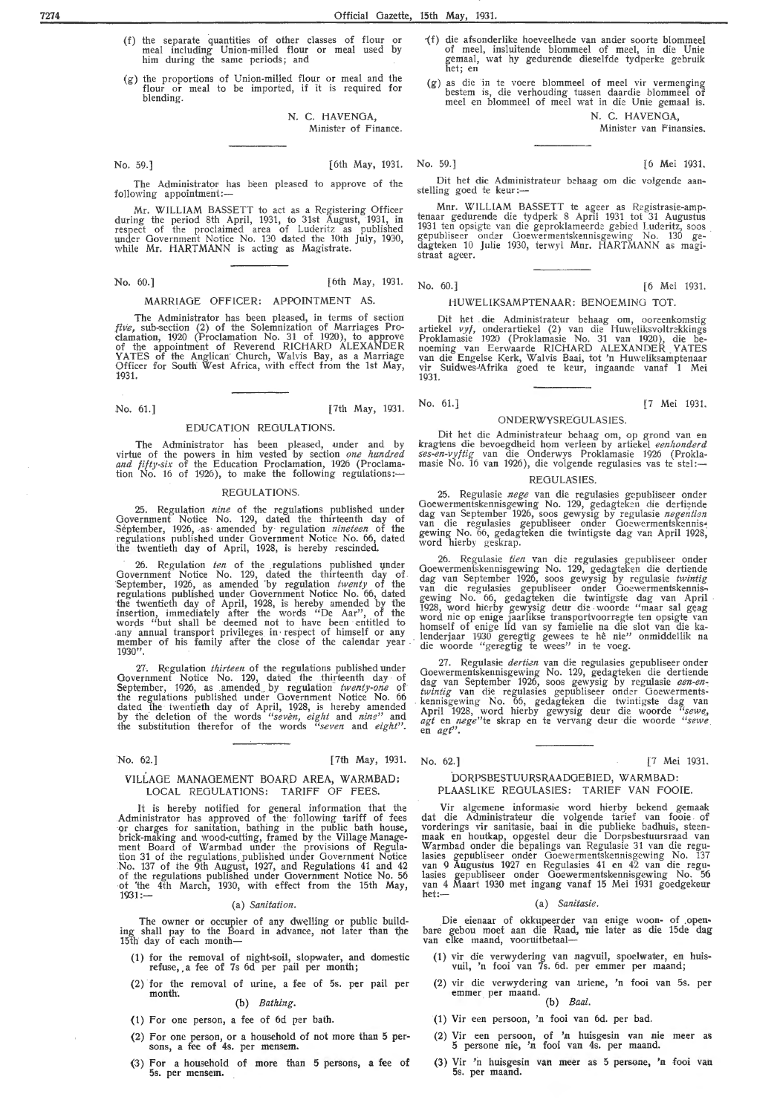- ( f) the separate quantities of other classes of flour or meal including Union-milled flour or meal used by him during the same periods; and
- (g) the proportions of Union-milled fiour or meal and the flour or meal to be imported, if it is required for blending.

N. C. HAVENGA, Minister of Finance.

The Administrator has been pleased *to* approve of the following appointment:

Mr. WILLIAM BASSETT to act as a Registering Officer during the period 8th April, 1931, to 31st August, 1931, in respect of the proclaimed area of Luderitz as published under Government Notice No. 130 dated the 10th July, 1930, while Mr. HARTMANN is acting as Magistrate.

No. 60.] [6th May, 1931. No. 60.] [6 Mei 1931.

### MARRIAGE OFFICER: APPOINTMENT AS.

The Administrator has been pleased, in terms of section five, sub-section (2) of the Solemnization of Marriages Proclamation, 1920 (Proclamation No. 31 of 1920), to approve of the appointment of Reverend RICHARD ALEXANDER YATES of the Anglican· Church, Walvis Bay, as a Marriage Officer for South West Africa, with effect from the 1st May, 1931.

No. 61.] [7th May, 1931.

### EDUCATION REGULATIONS.

The Administrator has been pleased, under and by virtue of the powers in him vested by section *one hundred and fifty-six* of the Education Proclamation, 1926 (Proclamation No. 16 of 1926), to make the following regulations:-

#### REGULATIONS.

25. Regulation *nine* of the regulations published under Government Notice No. 129, dated the thirteenth day of September, 1926, as amended by regulation *nineteen* of the regulations published under Government Notice No. 66, dated the twentieth day of April, 1928, is hereby rescinded.

26. Regulation *ten* of the regulations published under Government Notice No. 129, dated the thirteenth day of September, 1926, as amended by regulation *twenty* of the<br>regulations published under Government Notice No. 66, dated the twentieth day of April, 1928, is hereby amended by the insertion, immediately after the words "De Aar", of the words "but shall be deemed not to have been entitled to any annual transport privileges in respect of himself or any member of his family after the close of the calendar year .<br>1930''.

27. Regulation *thirteen* of the regulations published under Government Notice No. 129, dated the thirteenth day of<br>September, 1926, as amended by regulation *twenty-one* of<br>the regulations published under Government Notice No. 66 dated the twentieth day of April, 1928, is hereby amended<br>by the deletion of the words *"seven, eight* and *nine"* and the substitution therefor of the words *"se ven* and *eight".* 

No. 62.] [7th May, 1931.

### VILLAGE MANAGEMENT BOARD AREA, WARMBAD: LOCAL REGULATIONS: TARIFF OF FEES.

It is hereby notified for general information that the .Administrator has approved of the· following tariff of fees qr charges for sanitation, bathing in the public bath house, brick-making and wood-cutting, framed by the Village Manage-<br>ment Board of Warmbad under the provisions of Regulation 31 of the regulations, published under Government Notice No. 137 of the 9th August, 1927, and Regulations 41 and 42 of the regulations published under Government Notice No. 56 of 'the 4th March, 1930, with effect from the 15th May,  $1931:$ 

### ( a) *Sanitation.*

The owner *ot* occupier of any dwelling or public building shall pay to the Board in advance, not later than the 15th day of each month-

- (1) for the removal of night-soil, slopwater, and refuse, a fee of 7s 6d per pail per month; domestic
- (2) for the removal of urine, a fee of 5s. per pail per month.

### (b) *Bathing.*

- (1) For one person, a fee of 6d per bath.
- (2) For one person, or a household of not more than 5 persons, a fee of 4s. per mensem.
- $(3)$  For a household of more than 5 persons, a fee of 5s. per mensem.
- if) die afsonderlike hoeveelhede van antler soorte blommeel of meel, insluitende blommeel of meel, in die Unie<br>gemaal, wat hy gedurende di<del>e</del>selfde tydperke gebruik het; en
- (g) as die in te voere blommeel of meel vir vermenging bestem is, die verhouding tussen daardie blommeel of meel en blommeel of meel wat in die Unie gemaal is. N. C. HAVENGA,

Minister van Finansies.

### No. 59. ] [6th May, 1931. No. 59.] [6 Mei 1931. Dit het die Administrateur behaag om die volgende aan- stelling goed te keur :-

Mnr. WILLIAM BASSETT te ageer as Registrasie-amp- tenaar geclurencle die tydperk 8 April 1931 tot 31 Augustus 1931 ten opsigte van die geproklameerde gebied Luderitz, soos<br>gepubliseer onder Goewermentskennisgewing No. 130 gedagteken 10 Julie 1930, terwyl Mnr. HARTMANN as magistraat ageer.

### HUWELIKSAMPTENAAR: BENOEMING TOT.

Dit het . die Administrateur behaag om, ooreenkomstig artiekel *vyf,* onderartiekel (2) van die Huweliksvoltr=kkings Proklamasie 1920 (Proklamasie No. 31 van 1920), die be-<br>noeming van Eerwaarde RICHARD ALEXANDER YATES<br>van die Engelse Kerk, Walvis Baai, tot 'n Huweliksamptenaar<br>vir Suidwes-'Afrika goed te keur, ingaande vanaf 1 Mei 1931.

### ONDERWYSREOULASIES.

Dit het die Administrateur behaag om, op grond van en kragtens die bevoegdheid horn verleen by artiekel *eenhonderd ses-en-vyftig* van die Onderwys Proklamasie 1926 (Proklamasie No. 16 van 1926), die volgende regulasies vas te stel:—

### REGULASIES.

25. Regulasie nege van die regulasies gepubliseer onder Goewermentskennisgewing No. 129, gedagteken die dertiende dag van September 1926, soos gewysig by regulasie *negentien* van die regulasies gepubiiseer onder Ootwermentskennis• gewing No. 66, gedagteken die twintigste dag van April 1928; word hierby geskrap.

26. Regulasie *tien* van die regulasies gepubliseer onder Goewermentskennisgewing No. 129, gedagteken die dertiende dag van September 1926, soos gewysig by regulasie *twintig*<br>van die regulasies gepubliseer onder Goewermentskennis-<br>gewing No. 66, gedagteken die twintigste dag van April 1928, word hierby gewysig deur die woorde "maar sal geag word nie op enige jaarlikse transportvoorregte ten opsigte van<br>homself of enige lid van sy famielie na die slot van die kalenderjaar 1930 geregtig gewees te he nie" onmiddellik na die woorde "geregtig te wees" in te voeg.

27. Regulasie *dertien* van die regulasies gepubliseer onder Goewermentskennisgewing No. 129, gedagteken die dertiende dag van September 1926, soos gewysig by regulasie een-en-<br>twintig van die regulasies gepubliseer onder Goewerments-<br>kennisgewing No. 66, gedagteken die twintigste dag van<br>April 1928, word hierby gewysig deur die woorde "s

No. 62.] [7 Mei 1931.

### DORPSBESTUURSRAADGEBIED, WARMBAD: PLAASLJKE REGULASIES: TARIEF VAN FOOIE.

Vir algemene informasie word hierby bekend gemaak dat die Administrateur die volgende tarief van fooie of vorderings vir sanitasie, baai in die publieke badhuis, steenmaak en houtkap, opgestel deur die Dorpsbestuursraacl van Warmbad onder die bepalings van Regulasie 31 van die regulasies gepubliseer onder Goewermentskennisgewing No. 137 van 9 Augustus 1927 en Regulasies 41 en 42 van die regulasies gepubliseer onder Goewermentskennisgewing No. 56<br>van 4 Maart 1930 met ingang vanaf 15 Mei 1931 goedgekeur  $h$ et: $-$ 

#### (a) *Sanitasie.*

Die eienaar of okkupeerder van enige woon- of .openbare gebou moet aan die Raad, nie later as die 15de dag<br>van elke maand, vooruitbetaal---

- (1) vir die verwydering van nagvuil, spoelwater, en huisvuil, 'n fooi van 7s. 6d. per emmer per maand;
- (2) vir die verwydering van uriene, 'n fooi van 5s. per emmer. per maand. (b) *Baai.*

- (1) Vir een persoon, 'n fooi van 6d. per bad.
- Vir een persoon, of 'n huisgesin van nie meer as 5 persone nie, 'n fooi van 4s. per maand.
- (3) Vir 'n huisgesin van meer as 5 persone, 'n fooi van 5s. per maand.

No. 61.] [7 Mei 1931.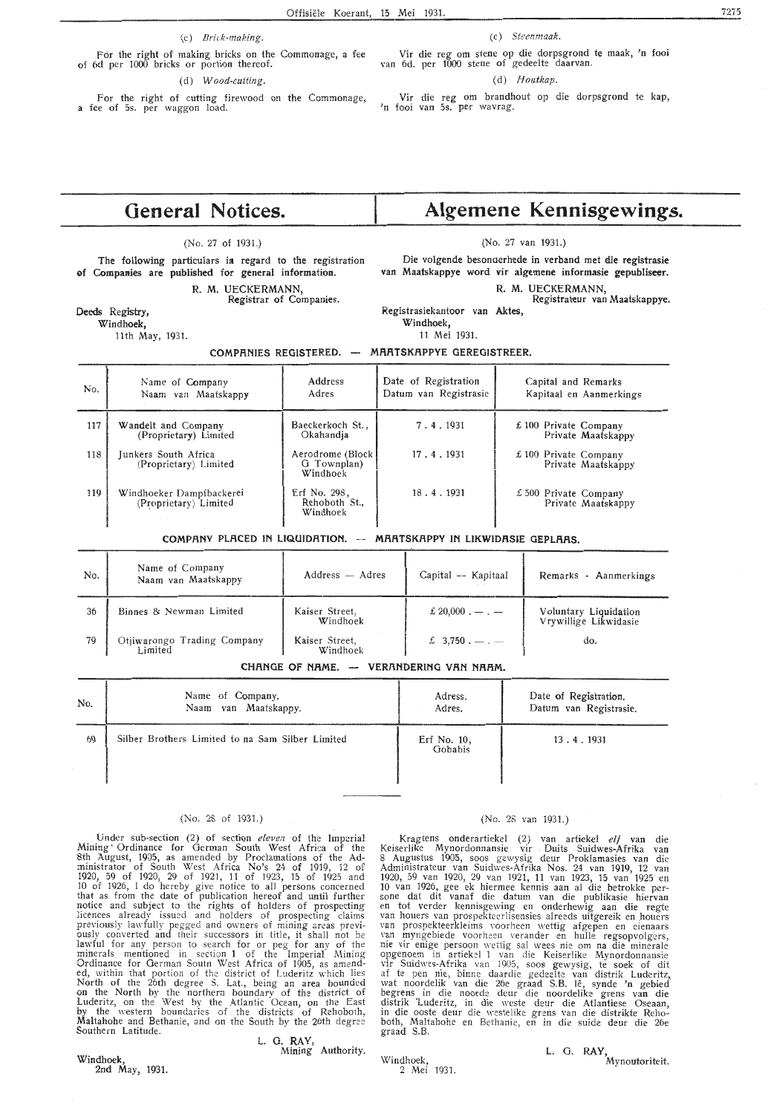(c) *Brick-making.* 

For the right of making bricks on the Commonage, a fee of 6d per 1000 bricks or portion thereof.

#### ( d) *Wood-cutting.*

For the right of cutting firewood on the Commonage, a fee of 5s. per waggon load.

Vir die reg om stene op die dorpsgrond te maak, 'n fooi van 6d. per 1000 stene of gedeelte daarvan.

### (d) *Houtkap.*

Vir die reg om brandhout op die dorpsgrond te kap, 'n fooi van 5s. per wavrag.

### **General Notices.**

### (No. 27 of 1931.)

The following particulars in regard to the registration of Companies are published for general information.

# R. M. UECKERMANN, Registrar of Companies.

### Deeds Registry,

**Windhoek,** 

11th May, 1931.

# **Algemene Kennisgewings.**

(No. 27 van 1931.)

Die volgende besonaerhede in verband met die registrasie van Maatskappye word vir algemene informasie gepubliseer.

### R. M. UECKERMANN, Registrateur van Maatskappye.

Registrasiekantoor **van Alctes,** 

**Windhoek,** 

11 Mei 1931.

### **COMPANIES REGISTERED. - MAATSKAPPYE GEREGISTREER.**

| No. | Name of Company<br>Naam van Maatskappy            | Address<br>Adres                             | Date of Registration<br>Datum van Registrasie | Capital and Remarks<br>Kapitaal en Aanmerkings |
|-----|---------------------------------------------------|----------------------------------------------|-----------------------------------------------|------------------------------------------------|
| 117 | Wandelt and Company<br>(Proprietary) Limited      | Baeckerkoch St.,<br>Okahandja                | 7.4.1931                                      | $£ 100$ Private Company<br>Private Maatskappy  |
| 118 | Junkers South Africa<br>(Proprietary) Limited     | Aerodrome (Block)<br>G Townplan)<br>Windhoek | 17.4.1931                                     | £100 Private Company<br>Private Maatskappy     |
| 119 | Windhoeker Dampfbackerei<br>(Proprietary) Limited | Erf No. 298,<br>Rehoboth St.,<br>Windhoek    | 18.4.1931                                     | £ 500 Private Company<br>Private Maatskappy    |

### COMPANY PLACED IN LIQUIDATION. -- MARTSKAPPY IN LIKWIDASIE GEPLAAS.

| No. | Name of Company<br>Naam van Maatskappy | $Address - Adres$          | Capital -- Kapitaal             | Remarks - Aanmerkings                          |
|-----|----------------------------------------|----------------------------|---------------------------------|------------------------------------------------|
| 36  | Binnes & Newman Limited                | Kaiser Street,<br>Windhoek | £ 20,000 $\ldots$ $\ldots$      | Voluntary Liquidation<br>Vrywillige Likwidasie |
| 79  | Otjiwarongo Trading Company<br>Limited | Kaiser Street,<br>Windhoek | $\text{\pounds}$ 3,750. -- . -- | do.                                            |

### CHANGE OF NAME. - VERANDERING VAN NAAM.

| No. | Name of Company.                                 | Adress.                | Date of Registration.  |
|-----|--------------------------------------------------|------------------------|------------------------|
|     | Naam van Maatskappy.                             | Adres.                 | Datum van Registrasie. |
| 69  | Silber Brothers Limited to na Sam Silber Limited | Erf No. 10,<br>Gobabis | 13.4.1931              |

### (No. 28 of 1931.)

Under sub-section (2) of section *eleven* of the Imperial Mining ' Ordinance for German South West Africa of the 8th August, 1905, as amended by Proclamations of the Ad-<br>ministrator of South West Africa No's 24 of 1919, 12 of 1920, 59 of 1920, 29 of 1921, 11 of 1923, 15 of 1925 and 10 of 1926, I do hereby give notice to all persons concerned that as from the date of publication hereof and until further notice and subject to the rights of holders of prospecting licences already issued and holders of prospecting claims previously lawfully pegged and owners of mining areas previ- ously converted and their successors in title, it shall not be lawful for any person to search for or peg for any of the minerals mentioned in section 1 of the Imperial Mining Ordinance for German Soutn West Africa of 1905, as amended, within that portion of the district of Luderitz which lies North of the 26th degree S. Lat., being an area bounded on the North by the northern boundary of the district of Luderitz, on the West by the Atlantic Ocean, on the East by the western boundaries of the districts of Rehoboth, Maltahohe and Bethanie, and on the South by the 26th degree Southern Latitude.

### L. G. **RAY,**  Mining Authority.

Windhoek, 2nd May, 1931. Windhoek, 2 Mei 1931.

### (No. 28 van 1931.)

Kragtens onderartiekel (2) van artiekel elf van die Keiserlike Mynordonnansie vir . Duits Suidwes-Afrika van 8 Augustus 1905, soos gewysig c\eur Proklamasies van die Administrateur van Suidwes-Afrika Nos. 24 van . 1919, 12 van 1920, 59 van 1920, 29 van 1921, 11 van 1923, 15 van 1925 en 10 van 1926, gee ek hiermee kennis aan al die betrokke per-<br>sone dat dit vanaf die datum van die publikasie hiervan<br>en tot verder kennisgewing en onderhewig aan die regte<br>van houers van prospekteerlisensies alreeds uitgere nie vir enige persoon wettig sal wees nie om na die minerale opgenoem in artiekel 1 van die Keiserlike Mynordonnansie vir Suidwes-Afrika van 1905, soos gewysig, te soek of dit af te pen nie, binne daardie gedeelte van distrik Luderitz, wat noordelik van die 26e graad S.B. lê, synde 'n gebied begrens in die noorde deur die noordelike grens van die distrik Luderitz, in die weste deur die Atlantiese Oseaan, in die ooste deur die westelike grens van die distrikte Reho" both, Maltahohe en Bethanie, en in die suide deur die 26e graad S.B.

> L. G. **RAY,**  Mynoutoriteit.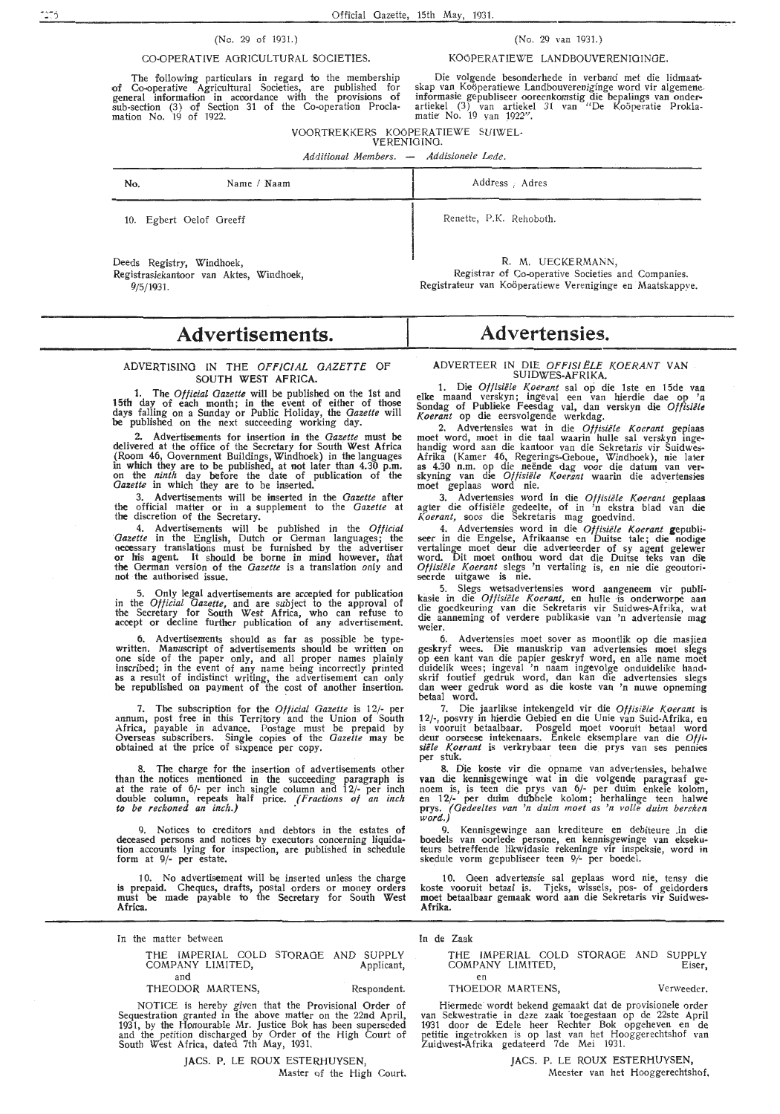### (No. 29 of 1931.)

### CO-OPERATIVE AGRICULTURAL SOCIETIES.

The following particulars in regard to the membership of Co-operative Agricultural Societies, are published for general information in accordance with the provisions of sub-section (3} of Section 31 of the Co-operation Proclamation No. 19 of 1922.

Die volgende besonderhede in verband met die lidmaatskap van Koöperatiewe Landbouvereniginge word vir algemeneinformasie gepubliseer ooreenkomstig die bepalings van onderartiekel (3) van artiekel 31 van "De Koöperatie Prokla-<br>matie: No. 19 van 1922".

VOORTREKKERS KOOPERATIEWE SUIWEL-

VERENIGING. Additional Members. — Addisionele Lede.

| No.                                    | Name / Naam                             | Address Adres                                                                                                                        |
|----------------------------------------|-----------------------------------------|--------------------------------------------------------------------------------------------------------------------------------------|
|                                        | 10. Egbert Oelof Greeff                 | Renette, P.K. Rehoboth.                                                                                                              |
| Deeds Registry, Windhoek,<br>9/5/1931. | Registrasiekantoor van Aktes, Windhoek, | R. M. UECKERMANN,<br>Registrar of Co-operative Societies and Companies.<br>Registrateur van Koöperatiewe Vereniginge en Maatskappve. |

### **Advertisements.**

### **ADVERTISING IN THE Of'FIC/Al GAZETTE OF SOUTH WEST AFRICA.**

**1. The** *Official Gazette* **will be published on the 1st and 15th day of each month; in the event of either of those days falling on a Sunday or** Public **Holiday, the** *Gazette* **will be published on** the next succeeding **working day.** 

**2. Advertisements for insertion in the** *Gazette* **must be delivered** at the office of the Secretary **for** South **West Africa (Room 46, Government** Buildings, **Windhoek) in the languages in which they are to be** published, at **not later than 4.30 p.m. on the** *ninth* **day before** the **date of** publication **of the**  *Gazette* **in which they are to be inserted.** 

**3. Advertisements will be** tnserted **in the** *Gazette* **after the official matter or in a supplement** to **the** *Gazette* **at the** discretion of **the Secretary.** 

**4. Advertisements will be** published **in** the *Official Gazette* **in the** English, **Dutch or German languages; the necessary** translations must **be furnished by** the **advertiser or** his agent. It should be borne in mind however, that **the** German version of the *Gazette* is a translation only and not the authorised issue.

5. Only legal advertisements are accepted for publication in the *Ofticial Gazette,* and are subject to the approval of the Secretary for South West Africa, who can refuse to accept or decline further publication of any advertisement.

6. Advertisements should as far as possible be typewritten. Manuscript of advertisements should be written on one side of the paper only, and all proper names plainly inscribed; in the event of any name being incorrectly printed as a result of indistinct writing, the advertisement can only be republished on payment of the cost of another insertion.

7. The subscription for the *Otficial Gazette* is 12/- per annum, post free in this Territory and the Union of South Africa, payable in advance. Postage must be prepaid by Overseas subscribers. Single copies of the *Gazette* may be obtained at the price of sixpence per copy.

8. The charge for the insertion of advertisements other than the notices mentioned in the succeeding paragraph is at the rate of  $6$ /- per inch single column and  $12$ /- per inch double column, repeats half price. *( Fractions of an inch to be reckoned an inch.)* ·

Notices to creditors and debtors in the estates of deceased persons and notices by executors concerning liquidation accounts lying for inspection, are published in schedule form at 9/- per estate.

10. No advertisement will be inserted unless the charge is prepaid. Cheques, drafts, postal orders or money orders must be made payable to the Secretary for South West **Africa.** 

In the matter between

THE IMPERIAL COLD STORAGE AND SUPPLY COMPANY LIMITED, Applicant, and

THEODOR MARTENS, Respondent.

NOTICE is hereby given that the Provisional Order of Sequestration granted in the above matter on the 22nd April, 1931, by the Honourable Mr. Justice Bok has been superseded and the petition discharged by Order of the High Court of South West Africa, dated 7th May, 1931.

### JACS. P. LE ROUX ESTERHUYSEN, Master of the High Court.

### **Advertensies.**

ADVERTEER IN DIE *OFFISIELE KOERANT* VAN

SUIDWES-AFRIKA. 1. Die *Oftisiiile Koerant* sal op die lste en 15de **vaa** elke maand verskyn; ingeval een van hierdie dae op '11 Sondag of Publieke Feesdag val, dan verskyn die *Offisiële*<br>*Koerant* op die eersvolgende werkdag.

2. Advcrtensies wat in die *Otfisiele Koerant* geplaas moet word, moet in die taal waarin hulle sal verskyn ingehandig word aan die kantoor van die Sekretaris vir Suidwes-Afrika (Kamer 46, Regerings-Geboue, Windhoek), nie later as 4.30 n.m. op die neende <lag voor die datum van ver- skyning van die *Otfisiiile Koerant* waarin die advertensies moet geplaas word nie.

3. Advertensies word in die *Of fisiele Koerant* geplaas agter die offisiele gedeelte, of in 'n ekstra blad van die *Koerant,* soos die Sekretaris mag goedvind.

4. Advertensies word in die *Otfisiele Koerant* gepubli- seer in die Engelse, Afrikaanse en Duitse tale; die nodige vertalinge moet deur die adverteerder of sy agent gelewer word. Dit moet onthou word dat die Duitse teks van die *Otfisiiile Koerant* slegs 'n vertaling is, en nie die geoutoriseerde uitgawe is nie.

5. Slegs wetsadvertensies word aangeneem vir publikas,ie in die *Offisiiile Koerant,* en hulle ·is onderworpe aan die goedkeuring van die Sekretaris vir Suidwes-Afrika, **wat**  die aanneming of verdere publikasie van 'n advertensie mag weier.

6. Advertensies moet sover as moontlik op die masjien geskryf wees. Die manuskrip van advertensies moet slegs op een kant van die papier geskryf word, en alle name moet duidelik wees; ingeval 'n naam ingevolge onduidelike handskrif foutief gedruk word, dan kan die advertensies slegs dan weer gedruk word as die koste van 'n nuwe opneming betaal word.

7. Die jaarlikse intekengeld vir die Offisiële *Koerant* is 12/-, posvry in hierdie Gebied en die Unie van Suid-Afrika, en is vooruit betaalbaar. Posgeld moet vooruit betaal word deur oorseese intekenaars. Enkele eksemplare van die Offi*siele Koerant* is verkrybaar teen die. prys van ses pennies per stuk. *Per stuk. Per stuk. Per stuk. Per stuk. Per stuk. Per stuk. Per stuk. Per stuk...* **<b>***Per stuk...* 

8. Die koste vir die opname van advertensies, behalwe van die kennisgewinge wat in die volgende paragraaf ge-<br>noem is, is teen die prys van 6/- per duim enkele kolom, en 12/- per duim dubbele kolom; herhalinge teen halwe prys. *(Oedeeltes van 'n duim moet as 'n volte duim bereken word.)* 

9. Kennisgewinge aan krediteure en debiteure .in **die**  boedels van oorlede persone, en kennisgewinge van eksekuteurs betreffende likwidasic rekeninge vir inspeksie, word in<br>skedule vorm gepubliseer teen 9/- per boedel.

10. Geen advertensie sal geplaas word nie, tensy die koste vooruit betaal is. Tjeks, wissels, pos- of geldorders moet betaalbaar gemaak word aan die Sekretaris vir Suidwes-**Afrika.** 

In de Zaak

THE IMPERIAL COLD STORAGE AND SUPPLY COMPANY LIMITED, Eiser, en

### THOEDOR, MARTENS, Verweeder.

Hiermede wordt bekend gemaakt dat de provisionele order van Sekwestratie in deze zaak toegestaan op de 22ste April 1931 door de Edele heer Rechter Bok opgeheven en de petitie ingetrokk,en is op last van het Hooggerechtshof van Zuidwest-Afrika gedateerd 7de Mei 1931.

> JACS. P. LE ROUX ESTERHUYSEN, Meester van het Hooggereclitshof.

(No. 29 van 1931.)

KOÖPERATIEWE LANDBOUVERENIGINGE.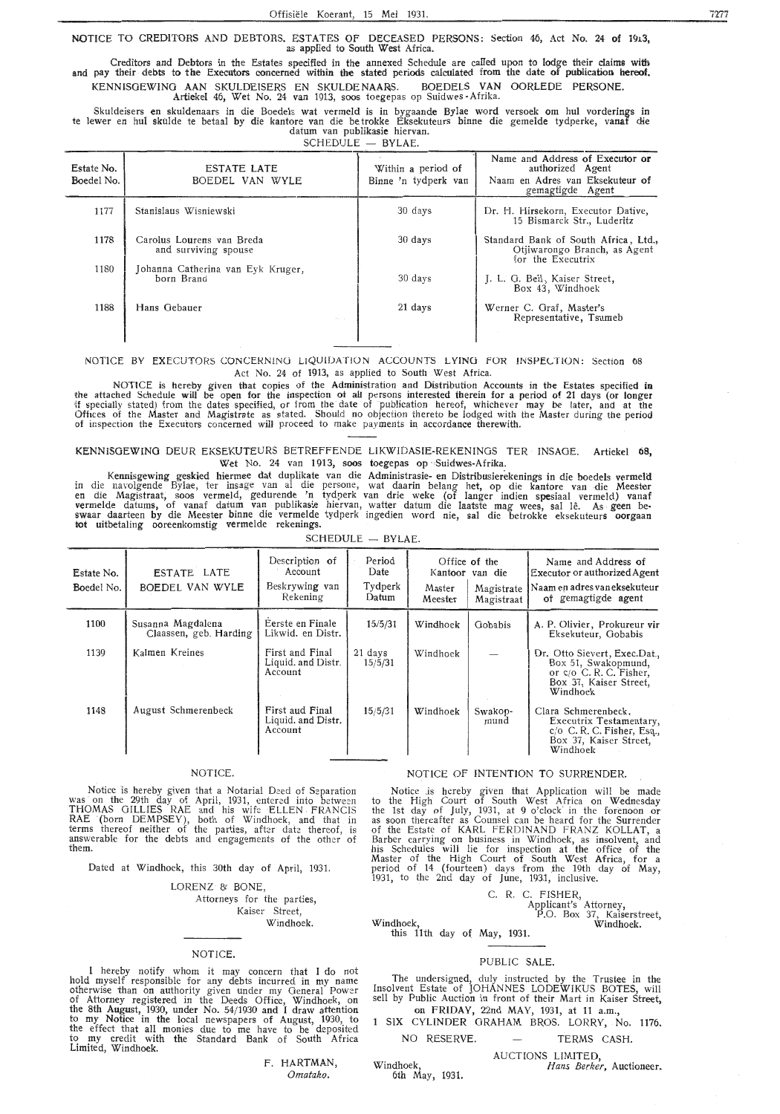NOTICE TO CREDITORS AND DEBTORS. ESTATES OF DECEASED PERSONS: Section 46, Act No. 24 of 1913, as applied to South West Africa.

Creditors and Debtors in the Estates specified in the annexed Schedule are called upon to lodge their claims with<br>And pay their debts to the Executors concerned within the stated periods calculated from the date of publica KENNISGEWING AAN SKULDEISERS EN SKULDENAARS. BOEDELS VAN OORLEDE PERSONE. Artiekel 46, Wet No. 24 van 1913, soos toegepas op Suidwes -Afrika.

Skuldeisers en skuldenaars in die Boedels wat vermeld is in bygaande Bylae word versoek om hul vorderings in te !ewer en hul skulde te betaal by die kantore van die be trokke Eksekuteurs binne die gemelde tydperke, vanaf die datum van publikasie hiervan.

| <b>SCHEDULE</b> | BYLAE. |
|-----------------|--------|
|                 |        |

| Estate No.<br>Boedel No. | <b>ESTATE LATE</b><br>BOEDEL VAN WYLE             | Within a period of<br>Binne 'n tydperk van | Name and Address of Executor or<br>authorized Agent<br>Naam en Adres van Eksekuteur of<br>gemagtigde Agent |
|--------------------------|---------------------------------------------------|--------------------------------------------|------------------------------------------------------------------------------------------------------------|
| 1177                     | Stanislaus Wisniewski                             | 30 days                                    | Dr. H. Hirsekorn, Executor Dative,<br>15 Bismarck Str., Luderitz                                           |
| 1178                     | Carolus Lourens van Breda<br>and surviving spouse | 30 days                                    | Standard Bank of South Africa, Ltd.,<br>Otjiwarongo Branch, as Agent<br>for the Executrix                  |
| 1180                     | Johanna Catherina van Eyk Kruger,<br>born Brand   | 30 days                                    | J. L. G. Bell, Kaiser Street,<br>Box 43, Windhoek                                                          |
| 1188                     | Hans Gebauer<br>the con-                          | 21 days                                    | Werner C. Graf, Master's<br>Representative, Tsumeb                                                         |
|                          |                                                   |                                            |                                                                                                            |

NOTICE BY EXECUTORS CONCERNING LIQUIDATION ACCOUNTS LYING FOR INSPECTION: Section 68 Act No. 24 of 1913, as applied to South West Africa.

NOTICE is hereby given that copies of the Administration and Distribution Accounts in the Estates specified in the attached Schedule will be open for the inspection of all persons interested therein for a period of 21 days (or longer if specially stated) from the dates specified, or from the date of publication hereof, whichever may be later, and at the Offices of the Master and Magistrate as stated. Should no objection thereto be lodged with the Master during the period of inspection the Executors concerned will proceed to make payments in accordance therewith.

KENNISGEWING DEUR EKSEKUTEURS BETREFFENDE LIKWlDASIE-REKENINGS TER · INSAGE. Artiekel **68,**  Wet No. 24 van 1913, soos toegepas op Suidwes-Afrika.

Kennisgewing geskied hiermee dat duplikate van die Administrasie- en Distribusierekenings in die boedels vermekl in die navolgende Bylae, ter insage van al die persone, wat daarin belang het, op die kantore van die Meester<br>en die Magistraat, soos vermeld, gedurende 'n tydperk van drie weke (of langer indien spesiaal vermeld) vanaf vermelde datums, of vanaf datum van publikasie hiervan, watter datum die laatste mag wees, sal lê. As geen be-<br>swaar daarteen by die Meester binne die vermelde tydperk ingedien word nie, sal die betrokke eksekuteurs oorgaa

| <b>SCHEDULE</b><br>BYLAE. |  |
|---------------------------|--|
|---------------------------|--|

| Estate No.<br>Boedel No. | ESTATE LATE<br>BOEDEL VAN WYLE              | Description of<br>Account<br>Beskrywing van<br>Rekening | Period<br>Date<br>Tydperk<br>Datum | Master<br>Meester | Office of the<br>Kantoor van die<br>Magistrate<br>Magistraat | Name and Address of<br>Executor or authorized Agent<br>  Naam en adres van eksekuteur<br>of gemagtigde agent       |
|--------------------------|---------------------------------------------|---------------------------------------------------------|------------------------------------|-------------------|--------------------------------------------------------------|--------------------------------------------------------------------------------------------------------------------|
| 1100                     | Susanna Magdalena<br>Claassen, geb. Harding | Eerste en Finale<br>Likwid. en Distr.                   | 15/5/31                            | Windhoek          | Gobabis                                                      | A. P. Olivier, Prokureur vir<br>Eksekuteur, Gobabis                                                                |
| 1139                     | Kalmen Kreines                              | First and Final<br>Liquid. and Distr.<br>Account        | 21 days<br>15/5/31                 | Windhoek          |                                                              | Dr. Otto Sievert, Exec.Dat.,<br>Box 51, Swakopmund,<br>or c/o C.R.C. Fisher,<br>Box 37, Kaiser Street,<br>Windhoek |
| 1148                     | August Schmerenbeck                         | First aud Final<br>Liquid. and Distr.<br>Account        | 15/5/31                            | Windhoek          | Swakop-<br>mund                                              | Clara Schmerenbeck,<br>Executrix Testamentary,<br>$c/O$ C.R.C. Fisher, Esq.,<br>Box 37, Kaiser Street,<br>Windhoek |

### NOTICE.

Notice is hereby given that a Notarial Deed of Separation was on the 29th day of April, 1931, entered into between THOMAS GILLIES RAE and his wife ELLEN FRANCIS RAE (born DEMPSEY), both of Windhoek, and that in terms thereof neither of the parties, after date: thereof, is answerable for the debts and engagements of the other of ihem.

Dated at Windhoek, this 30th day of April, 1931.

LORENZ & BONE. Attorneys for the parties, Kaiser Street, Windhoek.

### NOTICE.

I hereby notify whom it may concern that I do not hold myself responsible for any debts incurred in my name<br>otherwise than on authority given under my General Power<br>of Attorney registered in the Deeds Office, Windhoek, on<br>the 8th August, 1930, under No. 54/1930 and I draw to my Notice in the local newspapers of August, 1930, to the effect that all monies due *to* me have to be deposited to my credit with the Standard Bank of South Africa Limited, **Windhoek.** 

> F. **HARTMAN,**  *Omatako.*

NOTICE OF INTENTION TO SURRENDER.

Notice .is hereby given that Application will be made to the High Court of South West Africa on Wednesday the 1st day of July, 1931, at 9 o'clock in the foremoon or as soon thereafter as Counsel can be heard for the Surrender of the Estate of KARL FERDINAND FRANZ KOLLAT, a Barber carrying on business in Windhoek, as insolvent, and his Schedules will lie for inspection at the office of the Master of the High Court of South West Africa, for a period of 14 (fourteen) days from the 19th day of May, 1931, to the 2nd day of June, 1931, inclusive.

> C. R. C. FISHER, Applicant's Attorney, P.O. Box 37, Kaiserstreet, Windhoek.

Windhoek, this 11th day of May, 1931.

Windhoek,

6th May, 1931.

### PUBLIC SALE.

The undersigned, duly instructed by the Trustee in the Insolvent Estate of JOHANNES LODEWIKUS BOTES, will sell by Public Auction in front of their Mart in Kaiser Street, on FRIDAY, 22nd MAY, 1931, at 11 a.m.,

1 SIX CYLINDER GRAHAM BROS. LORRY, No. 1176.

NO RESERVE. TERMS CASH.

AUCTIONS LIMITED,

*Hans Berker,* Auctioneer.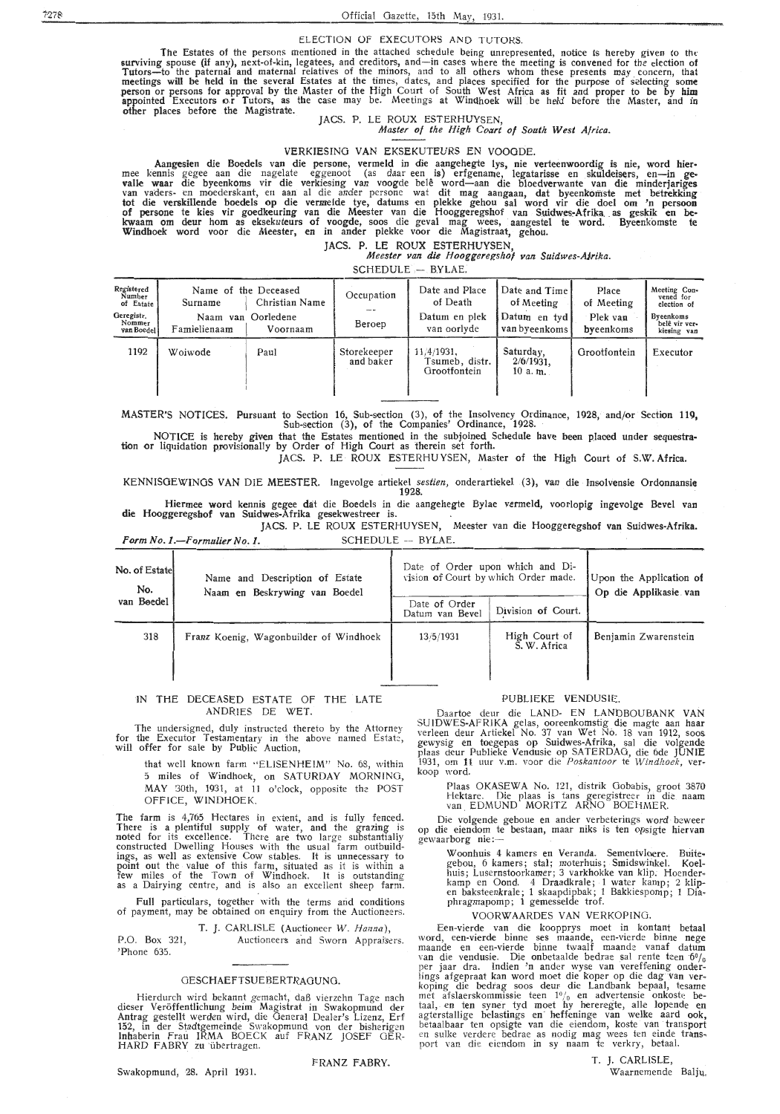#### ELECTION Of EXECUTORS AND TUTORS.

The Estates of the persons mentioned in the attached schedule being unrepresented, notice is hereby given to the<br>surviving spouse (if any), next-of-kin, legatees, and creditors, and—in cases where the meeting is convened f Tutors-to the paternal and maternal relatives of the minors, and to all others whom these presents may concern, that meetings will be held in the several Estates at the times, dates, and places specified for the purpose of selecting some<br>person or persons for approval by the Master of the High Court of South West Africa as fit and proper appointed Executors **o,r** Tutors, as the case may be. Meetings at Windhoek will be held before the Master, and in other places before the Magistrate.

JACS. P. LE ROUX ESTERHUYSEN, *Master of the High Court of South West Africa.* 

### VERKIESING VAN EKSEKUTEURS EN VOOODE.

Aangesien die Boedels van die persone, vermeld in die aangehegte lys, nie verteenwoordig is nie, word hier•<br>• mee kennis gegee aan die nagelate eggenoot (as daar een is) erfgename, legatarisse en skuldeisers, en-in ge• valle waar die byeenkoms vir die verkiesing van voogde belê word—aan die bloedverwante van die minderjariges<br>van vaders- en moederskant, en aan al die ander persone wat dit mag aangaan**, dat byeenkomste met betrekking** tot die verskillende boedels op die vermelde tye, datums en plekke gehou sal word vir die doel om 'n persoon<br>of persone te kies vir goedkeuring van die Meester van die Hooggeregshof van Suidwes-Afrika as geskik en bekwaam om deur hom as eksekuteurs of voogde, soos die geval mag wees, aangestel te word. Byeenkomste te Windhoek word voor die Meester, en in ander plekke voor die Magistraat, gehou.

## JACS. P. LE ROUX . ESTERHUYSEN, *Meester van die Hooggere{!shof van Suidwes-A}rika.*

| SCHEDULE - BYLAE. |  |
|-------------------|--|
|-------------------|--|

| Registered<br>Number<br>of Estate<br>Geregistr.<br>Nommer<br>van Boedel | Surname<br>Naam<br>Famielienaam | Name of the Deceased<br>Christian Name<br>van Oorledene<br>Voornaam | Occupation<br>Beroep     | Date and Place<br>of Death<br>Datum en plek<br>van oorlyde | Date and Time<br>of Meeting<br>Datum en tyd<br>van byeenkoms | Place<br>of Meeting<br>Plek van<br>byeenkoms | Meeting Con-<br>vened for<br>election of<br><b>Byeenkoms</b><br>belê vir ver-<br>kiesing van |
|-------------------------------------------------------------------------|---------------------------------|---------------------------------------------------------------------|--------------------------|------------------------------------------------------------|--------------------------------------------------------------|----------------------------------------------|----------------------------------------------------------------------------------------------|
| 1192                                                                    | Woiwode                         | Paul                                                                | Storekeeper<br>and baker | 11/4/1931.<br>Tsumeb, distr.<br>Grootfontein               | Saturday,<br>$2/6/1931$ ,<br>10 a.m.                         | Grootfontein                                 | Executor                                                                                     |

MASTER'S NOTICES. Pursuant to Section 16, Sub-section (3), of the Insolvency Ordinance, 1928, and/or Section 119, Sub-section (3), of the Companies' Ordinance, 1928.

NOTICE is hereby given that the Estates mentioned in the subjoined Schedule have been placed under sequestra-<br>tion or liquidation provisionally by Order of High Court as therein set forth. JACS. P. LE · ROUX ESTERHU YSEN, Master of the High Court of S.W. Africa.

KENNISOEWINGS VAN DIE MEESTER. Ingevolge artiekel *sestien,* onderartiekel (3), van die · lnsolvensie Ordonnansie 1928.

Hiermee word kennis gegee dat die Boedels in die aangehegte Bylae vermeld, voorlopig ingevolge Bevel van die Hooggeregshof van Suidwes-Afrika gesekwestreer is. JACS. P. LE ROUX ESTERHUYSEN, Meester van die Hooggeregshof van Suidwes-Afrika.

*Form No. 1.*-*Formulier No. 1.* SCHEDULE -- BYLAE.

| No. of Estatel<br>No. | Name and Description of Estate<br>Naam en Beskrywing van Boedel |                                  | Date of Order upon which and Di-<br>Upon the Application of<br>vision of Court by which Order made. |                       |  |
|-----------------------|-----------------------------------------------------------------|----------------------------------|-----------------------------------------------------------------------------------------------------|-----------------------|--|
| van Boedel            |                                                                 | Date of Order<br>Datum van Bevel | Division of Court.                                                                                  | Op die Applikasie van |  |
| 318                   | Franz Koenig, Wagonbuilder of Windhoek                          | 13/5/1931                        | High Court of<br>S. W. Africa                                                                       | Benjamin Zwarenstein  |  |

### IN THE DECEASED ESTATE OF THE LATE ANDRIES DE WET.

The undersigned, duly instructed thereto by the Attorney for the Executor Testamentary in the above named Estate, will offer for sale by Public Auction,

> that well known farm "ELISENHEIM" No. 68, within 5 miles of Windhoek, on SATURDAY MORNING, MAY 30th, 1931, at 11 o'clock, opposite the POST OFFICE, WINDHOEK.

The farm is 4,765 Hectares in extent, and is fully fenced.<br>There is a plentiful supply of water, and the grazing is<br>noted for its excellence. There are two large substantially<br>constructed Dwelling Houses with the usual far

Full particulars, together with the terms and conditions of payment, may be obtained on enquiry from the Auctioneers.

P.O. Box 321, 'Phone 635. T. J. CARLISLE (Auctioneer *W. Hanna),*  Auctioneers and Sworn Appraisers.

### GESCHAEFTSUEBERTRAGUNG.

Hierdurch wird bekannt gemacht, daß vierzehn Tage nach dieser Veröffentlichung beim Magistrat in Swakopmund der Antrag gestellt werden wird, die General Dealer's Lizenz, Erf 152, in der Stadtgemeinde Swakopmund von der bisherigen<br>Inhaberin Frau IRMA BOECK auf FRANZ JOSEF GER-HARD FABRY zu übertragen.

FRANZ FABRY. Swakopmund, 28. April 1931.

### PUBLIEKE VENDUSIE.

Daartoe deur die LAND- EN LANDBOUBANK VAN SUIDWES-AFRIKA gelas, ooreenkomstig die magte aan haar<br>verleen deur Artiekel No. 37 van Wet No. 18 van 1912, soos<br>gewysig en toegepas op Suidwes-Afrika, sal die volgende<br>plaas deur Publieke Vendusie op SATERDAG, die 6de JU 1931, om 11 uur v.m. voor die *Poskantoor* te *Windhoek*, ver-<br>koop word.

Plaas OKASEWA No. 121, distrik Gobabis, groot 3870 Hektare. Die plaas is tans genegistreer in die naam van \_ EDMUND MORITZ ARNO BOEHMER.

Die volgende geboue en ander verbeterings word beweer op die eiendom te bestaan, maar niks is ten opsigte hiervan gewaarborg nie:--

Woonhuis 4 kamers en Veranda. Sementvloere. Buite• gebou, 6 kamers; stal; moterhuis; Smidswinkel. Koelhuis; Lusernstoorkamer; 3 varkhokke van klip. Hoender-<br>kamp en Oond. 4 Draadkrale; 1 water kamp; 2 klip-<br>en baksteenkrale; 1 skaapdipbak; 1 Bakkiespomp; 1 Dia-<br>phragmapomp; 1 gemesselde trof.

### VOORWAARDES VAN VERKOPING.

Een-vierde van die koopprys moet in kontant betaa! word, een-vierde binne ses maande, een-vierde binne nege maande en een-vierde binne twaalf maande vanaf datum van die vendusie. Die onbetaalde bedrae sal rente teen  $6\%$ per jaar dra. Indien 'n ander wyse van vereffening onderlings afgepraat kan word moet die koper op die dag van ver-<br>koping die bedrag soos deur die Landbank bepaal, tesame<br>met afslaerskommissie teen  $1\frac{9}{0}$  en advertensie onkoste betaal, en ten syner tyd moet hy here regte, alle lopende en agterstallige belastings en· heffeninge van welke aard ook, betaalbaar ten opsigte van die eiendom, koste van transport en sulke verdere bedrae as nodig mag wees ten einde transport van die eiendom in sy naam te verkry, betaal.

T. J. CARLISLE, Waarnemende Balju.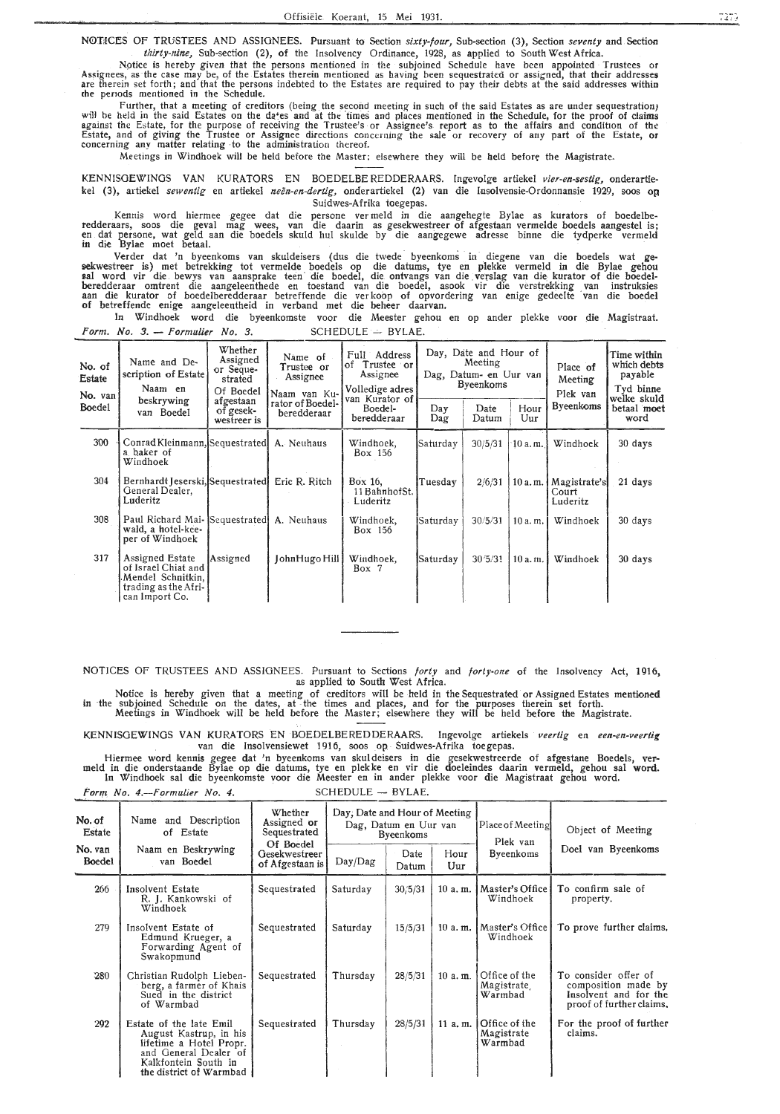NOTICES OF TRUSTEES AND ASSIGNEES. Pursuant to Section *sixty-four*, Sub-section (3), Section *seventy* and Section *thirty-nine,* Sub-section (2), of the Insolvency Ordinance, 1928, as applied to South West Africa.

Notice is hereby given that the persons mentioned in the subjoined Schedule have been appointed Trustees or<br>Assignees, as the case may be, of the Estates therein mentioned as having been sequestrated or assigned, that thei the periods mentioned in the Schedule.

Further, that a meeting of creditors (being the second meeting in such of the said Estates as are under sequestration) will be held in the said Estates on the da•es and at the times and places mentioned in the Schedule, for the proof of claims against the Estate, for the purpose of receiving the Trustee's or Assignee's report as to the affairs and condition of the Estate, and of giving the Trustee or Assignee directions concerning the sale or recovery of any part of the Estate, **or**  concerning any matter relating -to the administration thereof.

Meetings in Windhoek will be held before the Master; elsewhere they will be held before the Magistrate.

KENNISGEWINOS VAN KURATORS EN BOEDELBE REDDERAARS. Ingevolge artiekel *vier-en-sestig,* onderartiekel (3), artiekel sewentig en artiekel neën-en-dertig, onderartiekel (2) van die Insolvensie-Ordonnansie 1929, soos op Suidwes-Afrika toegepas.

Kennis word hiermee gegee dat die persone ver meld in die aangehegte Bylae as kurators of boedelberedderaars, soos die geval mag wees, van die daarin as gesekwestreer of afgestaan vermelde boedels aangestel is;<br>en dat persone, wat geld aan die boedels skuld hul skulde by die aangegewe adresse binne die tydperke vermeld in die Bylae meet betaal.

Verder dat 'n byeenkoms van skuldeisers (dus die twede byeenkoms in diegene van die boedels wat gesekwestreer is) met betrekking tot vermelde boedels op die datums, tye en plekke vermeld in die Bylae gehou **1,al** word vir di,e bewys van aansprake teen · die boedel, die. ontvangs van die verslag van die kurator of die boedelberedderaar omtrent die aangeleenthede en toestand van die boedel, asook vir die verstrekking van instruksies<br>aan die kurator of boedelberedderaar betreffende die verkoop of opvordering van enige gedeelte van die boedel of betreffende enige aangeleentheid in verband met die beheer daarvan.

In Windhoek word die byeenkomste voor die Meester gehou en op antler plekke voor die Magistraat. *Form. No. 3.* - *Formulier No. 3.* SCHEDULE -- BYLAE.

| No. of<br>Estate<br>No. $van$ | Name and De-<br>scription of Estate<br>Naam en                                                               | Whether<br>Assigned<br>or Seque-<br>strated<br>Of Boedel | Name of<br>Trustee or<br>Assignee<br>Naam van Ku- | Full Address<br>Trustee or<br>of<br>Assignee<br>Volledige adres |                   | Day, Date and Hour of<br>Meeting<br>Dag, Datum- en Uur van<br><b>Byeenkoms</b> |             |                                    | Time within<br>which debts<br>payable<br>Tyd binne |
|-------------------------------|--------------------------------------------------------------------------------------------------------------|----------------------------------------------------------|---------------------------------------------------|-----------------------------------------------------------------|-------------------|--------------------------------------------------------------------------------|-------------|------------------------------------|----------------------------------------------------|
| <b>Boedel</b>                 | beskrywing<br>van Boedel                                                                                     | afgestaan<br>of gesek-<br>westreer is                    | rator of Boedel-<br>beredderaar                   | van Kurator of<br>Boedel-<br>beredderaar                        | Day<br>Dag        | Date<br>Datum                                                                  | Hour<br>Uur | Plek van<br><b>Byeenkoms</b>       | welke skuld<br>betaal moet<br>word                 |
| 300                           | Conrad Kleinmann, Sequestrated<br>a baker of<br>Windhoek                                                     |                                                          | A. Neuhaus                                        | Windhoek,<br>Box 156                                            | Saturday          | 30/5/31                                                                        | 10a.m.      | Windhoek                           | 30 days                                            |
| 304                           | Bernhardt Jeserski, Sequestrated<br>General Dealer,<br>Luderitz                                              |                                                          | Eric R. Ritch                                     | Box 16.<br>11 BahnhofSt.<br>Luderitz                            | Tuesday           | 2/6/31                                                                         | 10 a.m.     | Magistrate's <br>Court<br>Luderitz | 21 days                                            |
| 308                           | Paul Richard Mai- Sequestrated<br>wald, a hotel-kee-<br>per of Windhoek                                      |                                                          | A. Neuhaus                                        | Windhoek,<br>Box 156                                            | <b> Satur</b> day | 30/5/31                                                                        | 10a.m.      | Windhoek                           | 30 days                                            |
| 317                           | <b>Assigned Estate</b><br>of Israel Chiat and<br>Mendel Schnitkin,<br>trading as the Afri-<br>can Import Co. | Assigned                                                 | JohnHugo Hill                                     | Windhoek,<br>Box 7                                              | Saturday          | 30/5/31                                                                        | 10a.m.      | Windhoek                           | 30 days                                            |

NOTICES OF TRUSTEES AND ASSIGNEES. Pursuant to Sections *forty* and *forty-one* of the Insolvency Act, 1916, as applied to South West Africa.

Notice is hereby given that a meeting of creditors will be held in the Sequestrated or Assigned Estates mentioned in the subjoined Schedule on the dates, at the times and places, and for the purposes therein set forth. Meetings in Windhoek will be held before the Master; elsewhere they will be held before the Magistrate.

KENNISOEWINOS VAN KURATORS EN BOEDELBEREDDERAARS. Ingevolge artiekels *veertig* en *een.-en-veertig*  van die Insolvensiewet 1916, soos op Suidwes-Afrika toegepas.

Hiermee word kennis gegee dat 'n byeenkoms van skul deisers in die gesekwestreerde of afgestane Boedels, ver- meld in die onderstaande Bylae op die datums, tye en plekke en vir die doeleindes daarin vermeld, gehou sal word. In Windhoek sal die byeenkomste voor die Meester en in ander plekke voor die Magistraat gehou word.

*Form No. 4.--Formulier No. 4.* **SCHEDULE - BYLAE.** 

| No. of<br>Estate  | Name and Description<br>of Estate                                                                                                                        | Whether<br>Assigned or<br>Sequestrated        | Day, Date and Hour of Meeting<br>Dag, Datum en Uur van<br><b>Byeenkoms</b> |               | Place of Meeting<br>Plek van | Object of Meeting                      |                                                                                                  |
|-------------------|----------------------------------------------------------------------------------------------------------------------------------------------------------|-----------------------------------------------|----------------------------------------------------------------------------|---------------|------------------------------|----------------------------------------|--------------------------------------------------------------------------------------------------|
| No. van<br>Boedel | Naam en Beskrywing<br>van Boedel                                                                                                                         | Of Boedel<br>Gesekwestreer<br>of Afgestaan is | Day/Dag                                                                    | Date<br>Datum | Hour<br>Uur                  | <b>Byeenkoms</b>                       | Doel van Byeenkoms                                                                               |
| 266               | Insolvent Estate<br>R. J. Kankowski of<br>Windhoek                                                                                                       | Sequestrated                                  | Saturday                                                                   | 30/5/31       | 10a, m.                      | Master's Office<br>Windhoek            | To confirm sale of<br>property.                                                                  |
| 279               | Insolvent Estate of<br>Edmund Krueger, a<br>Forwarding Agent of<br>Swakopmund                                                                            | Sequestrated                                  | Saturday                                                                   | 15/5/31       | 10a.m.                       | Master's Office<br>Windhoek            | To prove further claims,                                                                         |
| 280               | Christian Rudolph Lieben-<br>berg, a farmer of Khais<br>Sued in the district<br>of Warmbad                                                               | Sequestrated                                  | Thursday                                                                   | 28/5/31       | 10 a.m.                      | Office of the<br>Magistrate<br>Warmbad | To consider offer of<br>composition made by<br>Insolvent and for the<br>proof of further claims. |
| 292               | Estate of the late Emil<br>August Kastrup, in his<br>lifetime a Hotel Propr.<br>and General Dealer of<br>Kalkfontein South in<br>the district of Warmbad | Sequestrated                                  | Thursday                                                                   | 28/5/31       | 11 a.m.                      | Office of the<br>Magistrate<br>Warmbad | For the proof of further<br>claims.                                                              |